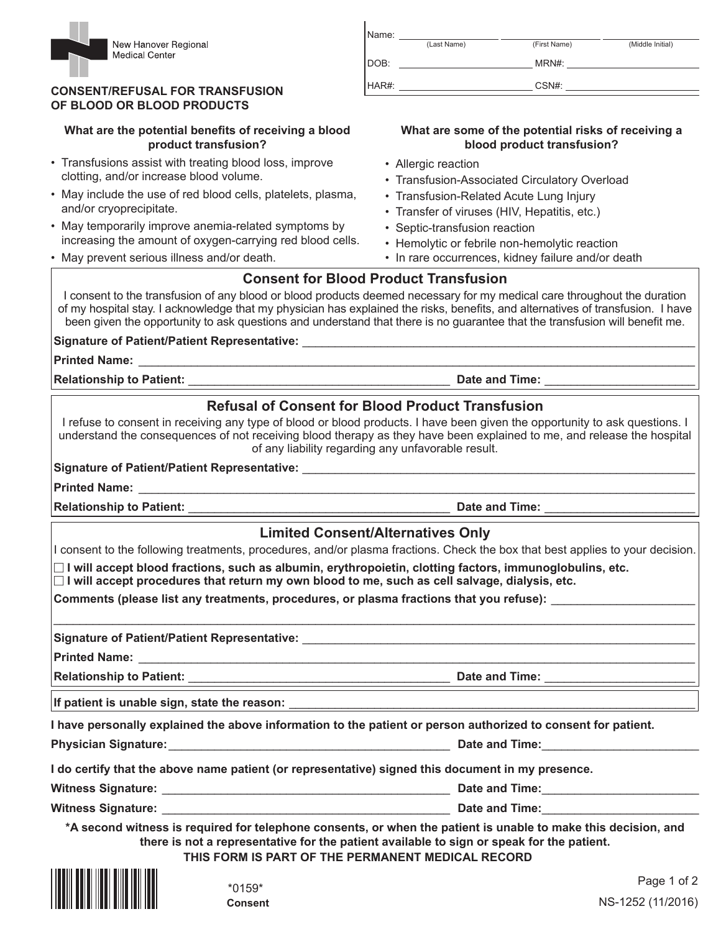

#### **CONSENT/REFUSAL FOR TRANSFUSION OF BLOOD OR BLOOD PRODUCTS**

### What are the potential benefits of receiving a blood **product transfusion?**

- Transfusions assist with treating blood loss, improve clotting, and/or increase blood volume.
- May include the use of red blood cells, platelets, plasma, and/or cryoprecipitate.
- May temporarily improve anemia-related symptoms by increasing the amount of oxygen-carrying red blood cells.
- May prevent serious illness and/or death.

| Name: |             |              |                  |
|-------|-------------|--------------|------------------|
|       | (Last Name) | (First Name) | (Middle Initial) |
| DOB:  |             | MRN#:        |                  |
| HAR#: |             | CSN#:        |                  |
|       |             |              |                  |

#### **What are some of the potential risks of receiving a blood product transfusion?**

- Allergic reaction
- Transfusion-Associated Circulatory Overload
- Transfusion-Related Acute Lung Injury
- Transfer of viruses (HIV, Hepatitis, etc.)
- Septic-transfusion reaction
- Hemolytic or febrile non-hemolytic reaction
- In rare occurrences, kidney failure and/or death

# **Consent for Blood Product Transfusion**

I consent to the transfusion of any blood or blood products deemed necessary for my medical care throughout the duration of my hospital stay. I acknowledge that my physician has explained the risks, benefits, and alternatives of transfusion. I have been given the opportunity to ask questions and understand that there is no quarantee that the transfusion will benefit me.

## **Signature of Patient/Patient Representative:** \_\_\_\_\_\_\_\_\_\_\_\_\_\_\_\_\_\_\_\_\_\_\_\_\_\_\_\_\_\_\_\_\_\_\_\_\_\_\_\_\_\_\_\_\_\_\_\_\_\_\_\_\_\_\_\_\_\_\_\_

**Printed Name:** 

**Relationship to Patient:** \_\_\_\_\_\_\_\_\_\_\_\_\_\_\_\_\_\_\_\_\_\_\_\_\_\_\_\_\_\_\_\_\_\_\_\_\_\_\_\_ **Date and Time:** \_\_\_\_\_\_\_\_\_\_\_\_\_\_\_\_\_\_\_\_\_\_\_

# **Refusal of Consent for Blood Product Transfusion**

I refuse to consent in receiving any type of blood or blood products. I have been given the opportunity to ask questions. I understand the consequences of not receiving blood therapy as they have been explained to me, and release the hospital of any liability regarding any unfavorable result.

### Signature of Patient/Patient Representative:

**Printed Name:** \_\_\_\_\_\_\_\_\_\_\_\_\_\_\_\_\_\_\_\_\_\_\_\_\_\_\_\_\_\_\_\_\_\_\_\_\_\_\_\_\_\_\_\_\_\_\_\_\_\_\_\_\_\_\_\_\_\_\_\_\_\_\_\_\_\_\_\_\_\_\_\_\_\_\_\_\_\_\_\_\_\_\_\_\_

**Relationship to Patient:** \_\_\_\_\_\_\_\_\_\_\_\_\_\_\_\_\_\_\_\_\_\_\_\_\_\_\_\_\_\_\_\_\_\_\_\_\_\_\_\_ **Date and Time:** \_\_\_\_\_\_\_\_\_\_\_\_\_\_\_\_\_\_\_\_\_\_\_

## **Limited Consent/Alternatives Only**

I consent to the following treatments, procedures, and/or plasma fractions. Check the box that best applies to your decision.

 $\_$  ,  $\_$  ,  $\_$  ,  $\_$  ,  $\_$  ,  $\_$  ,  $\_$  ,  $\_$  ,  $\_$  ,  $\_$  ,  $\_$  ,  $\_$  ,  $\_$  ,  $\_$  ,  $\_$  ,  $\_$  ,  $\_$  ,  $\_$  ,  $\_$  ,  $\_$  ,  $\_$  ,  $\_$  ,  $\_$  ,  $\_$  ,  $\_$  ,  $\_$  ,  $\_$  ,  $\_$  ,  $\_$  ,  $\_$  ,  $\_$  ,  $\_$  ,  $\_$  ,  $\_$  ,  $\_$  ,  $\_$  ,  $\_$  ,

- **I will accept blood fractions, such as albumin, erythropoietin, clotting factors, immunoglobulins, etc.**

- **I will accept procedures that return my own blood to me, such as cell salvage, dialysis, etc.**

**Comments (please list any treatments, procedures, or plasma fractions that you refuse):** \_\_\_\_\_\_\_\_\_\_\_\_\_\_\_\_\_\_\_\_\_\_

Signature of Patient/Patient Representative: \_\_\_\_\_\_\_\_\_\_\_\_\_\_\_\_\_\_\_\_\_\_\_\_\_\_\_\_\_\_\_\_\_\_\_

**Printed Name:** 

**Relationship to Patient:** \_\_\_\_\_\_\_\_\_\_\_\_\_\_\_\_\_\_\_\_\_\_\_\_\_\_\_\_\_\_\_\_\_\_\_\_\_\_\_\_ **Date and Time:** \_\_\_\_\_\_\_\_\_\_\_\_\_\_\_\_\_\_\_\_\_\_\_

If patient is unable sign, state the reason:

**I have personally explained the above information to the patient or person authorized to consent for patient.**

**Physician Signature:** \_\_\_\_\_\_\_\_\_\_\_\_\_\_\_\_\_\_\_\_\_\_\_\_\_\_\_\_\_\_\_\_\_\_\_\_\_\_\_\_\_\_\_ **Date and Time:** \_\_\_\_\_\_\_\_\_\_\_\_\_\_\_\_\_\_\_\_\_\_\_\_

**I do certify that the above name patient (or representative) signed this document in my presence.**

**Witness Signature:** \_\_\_\_\_\_\_\_\_\_\_\_\_\_\_\_\_\_\_\_\_\_\_\_\_\_\_\_\_\_\_\_\_\_\_\_\_\_\_\_\_\_\_\_ **Date and Time:** \_\_\_\_\_\_\_\_\_\_\_\_\_\_\_\_\_\_\_\_\_\_\_\_

**Witness Signature:** \_\_\_\_\_\_\_\_\_\_\_\_\_\_\_\_\_\_\_\_\_\_\_\_\_\_\_\_\_\_\_\_\_\_\_\_\_\_\_\_\_\_\_\_ **Date and Time:** \_\_\_\_\_\_\_\_\_\_\_\_\_\_\_\_\_\_\_\_\_\_\_\_

**\*A second witness is required for telephone consents, or when the patient is unable to make this decision, and there is not a representative for the patient available to sign or speak for the patient.**

**THIS FORM IS PART OF THE PERMANENT MEDICAL RECORD**